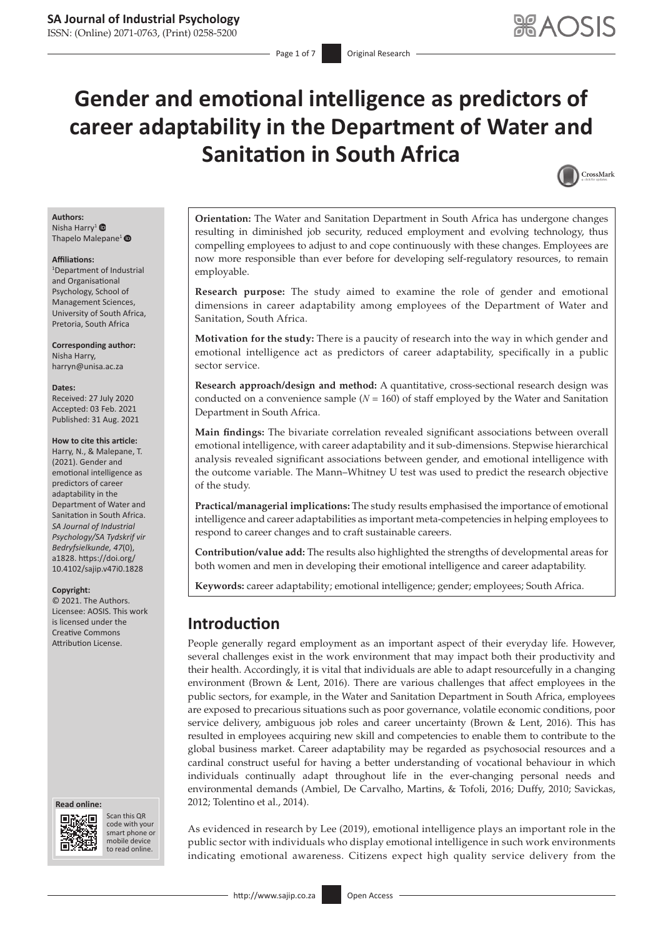# **Gender and emotional intelligence as predictors of career adaptability in the Department of Water and Sanitation in South Africa**



# **Authors:**

Nisha Harry<sup>[1](https://orcid.org/0000-0003-1626-8012)</sup> Thapelo Malepane<sup>1</sup> <sup>®</sup>

#### **Affiliations:**

1 Department of Industrial and Organisational Psychology, School of Management Sciences, University of South Africa, Pretoria, South Africa

**Corresponding author:** Nisha Harry, [harryn@unisa.ac.za](mailto:harryn@unisa.ac.za)

#### **Dates:**

Received: 27 July 2020 Accepted: 03 Feb. 2021 Published: 31 Aug. 2021

#### **How to cite this article:**

Harry, N., & Malepane, T. (2021). Gender and emotional intelligence as predictors of career adaptability in the Department of Water and Sanitation in South Africa. *SA Journal of Industrial Psychology/SA Tydskrif vir Bedryfsielkunde, 47*(0), a1828. [https://doi.org/](https://doi.org/10.4102/sajip.v47i0.1828) [10.4102/sajip.v47i0.1828](https://doi.org/10.4102/sajip.v47i0.1828)

#### **Copyright:**

© 2021. The Authors. Licensee: AOSIS. This work is licensed under the Creative Commons Attribution License.

#### **Read online: Read online:**



Scan this QR code with your Scan this QR<br>code with your<br>smart phone or<br>mobile device mobile device to read online. to read online.

**Orientation:** The Water and Sanitation Department in South Africa has undergone changes resulting in diminished job security, reduced employment and evolving technology, thus compelling employees to adjust to and cope continuously with these changes. Employees are now more responsible than ever before for developing self-regulatory resources, to remain employable.

**Research purpose:** The study aimed to examine the role of gender and emotional dimensions in career adaptability among employees of the Department of Water and Sanitation, South Africa.

**Motivation for the study:** There is a paucity of research into the way in which gender and emotional intelligence act as predictors of career adaptability, specifically in a public sector service.

**Research approach/design and method:** A quantitative, cross-sectional research design was conducted on a convenience sample  $(N = 160)$  of staff employed by the Water and Sanitation Department in South Africa.

**Main findings:** The bivariate correlation revealed significant associations between overall emotional intelligence, with career adaptability and it sub-dimensions. Stepwise hierarchical analysis revealed significant associations between gender, and emotional intelligence with the outcome variable. The Mann–Whitney U test was used to predict the research objective of the study.

**Practical/managerial implications:** The study results emphasised the importance of emotional intelligence and career adaptabilities as important meta-competencies in helping employees to respond to career changes and to craft sustainable careers.

**Contribution/value add:** The results also highlighted the strengths of developmental areas for both women and men in developing their emotional intelligence and career adaptability.

**Keywords:** career adaptability; emotional intelligence; gender; employees; South Africa.

# **Introduction**

People generally regard employment as an important aspect of their everyday life. However, several challenges exist in the work environment that may impact both their productivity and their health. Accordingly, it is vital that individuals are able to adapt resourcefully in a changing environment (Brown & Lent, 2016). There are various challenges that affect employees in the public sectors, for example, in the Water and Sanitation Department in South Africa, employees are exposed to precarious situations such as poor governance, volatile economic conditions, poor service delivery, ambiguous job roles and career uncertainty (Brown & Lent, 2016). This has resulted in employees acquiring new skill and competencies to enable them to contribute to the global business market. Career adaptability may be regarded as psychosocial resources and a cardinal construct useful for having a better understanding of vocational behaviour in which individuals continually adapt throughout life in the ever-changing personal needs and environmental demands (Ambiel, De Carvalho, Martins, & Tofoli, 2016; Duffy, 2010; Savickas, 2012; Tolentino et al., 2014).

As evidenced in research by Lee (2019), emotional intelligence plays an important role in the public sector with individuals who display emotional intelligence in such work environments indicating emotional awareness. Citizens expect high quality service delivery from the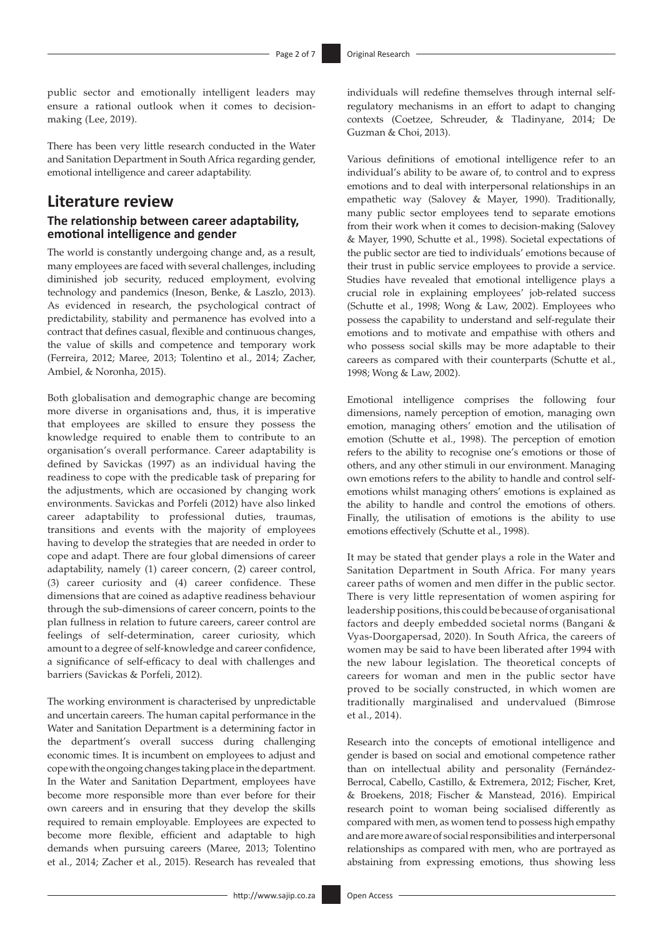public sector and emotionally intelligent leaders may ensure a rational outlook when it comes to decisionmaking (Lee, 2019).

There has been very little research conducted in the Water and Sanitation Department in South Africa regarding gender, emotional intelligence and career adaptability.

# **Literature review**

# **The relationship between career adaptability, emotional intelligence and gender**

The world is constantly undergoing change and, as a result, many employees are faced with several challenges, including diminished job security, reduced employment, evolving technology and pandemics (Ineson, Benke, & Laszlo, 2013). As evidenced in research, the psychological contract of predictability, stability and permanence has evolved into a contract that defines casual, flexible and continuous changes, the value of skills and competence and temporary work (Ferreira, 2012; Maree, 2013; Tolentino et al., 2014; Zacher, Ambiel, & Noronha, 2015).

Both globalisation and demographic change are becoming more diverse in organisations and, thus, it is imperative that employees are skilled to ensure they possess the knowledge required to enable them to contribute to an organisation's overall performance. Career adaptability is defined by Savickas (1997) as an individual having the readiness to cope with the predicable task of preparing for the adjustments, which are occasioned by changing work environments. Savickas and Porfeli (2012) have also linked career adaptability to professional duties, traumas, transitions and events with the majority of employees having to develop the strategies that are needed in order to cope and adapt. There are four global dimensions of career adaptability, namely (1) career concern, (2) career control, (3) career curiosity and (4) career confidence. These dimensions that are coined as adaptive readiness behaviour through the sub-dimensions of career concern, points to the plan fullness in relation to future careers, career control are feelings of self-determination, career curiosity, which amount to a degree of self-knowledge and career confidence, a significance of self-efficacy to deal with challenges and barriers (Savickas & Porfeli, 2012).

The working environment is characterised by unpredictable and uncertain careers. The human capital performance in the Water and Sanitation Department is a determining factor in the department's overall success during challenging economic times. It is incumbent on employees to adjust and cope with the ongoing changes taking place in the department. In the Water and Sanitation Department, employees have become more responsible more than ever before for their own careers and in ensuring that they develop the skills required to remain employable. Employees are expected to become more flexible, efficient and adaptable to high demands when pursuing careers (Maree, 2013; Tolentino et al., 2014; Zacher et al., 2015). Research has revealed that individuals will redefine themselves through internal selfregulatory mechanisms in an effort to adapt to changing contexts (Coetzee, Schreuder, & Tladinyane, 2014; De Guzman & Choi, 2013).

Various definitions of emotional intelligence refer to an individual's ability to be aware of, to control and to express emotions and to deal with interpersonal relationships in an empathetic way (Salovey & Mayer, 1990). Traditionally, many public sector employees tend to separate emotions from their work when it comes to decision-making (Salovey & Mayer, 1990, Schutte et al., 1998). Societal expectations of the public sector are tied to individuals' emotions because of their trust in public service employees to provide a service. Studies have revealed that emotional intelligence plays a crucial role in explaining employees' job-related success (Schutte et al., 1998; Wong & Law, 2002). Employees who possess the capability to understand and self-regulate their emotions and to motivate and empathise with others and who possess social skills may be more adaptable to their careers as compared with their counterparts (Schutte et al., 1998; Wong & Law, 2002).

Emotional intelligence comprises the following four dimensions, namely perception of emotion, managing own emotion, managing others' emotion and the utilisation of emotion (Schutte et al., 1998). The perception of emotion refers to the ability to recognise one's emotions or those of others, and any other stimuli in our environment. Managing own emotions refers to the ability to handle and control selfemotions whilst managing others' emotions is explained as the ability to handle and control the emotions of others. Finally, the utilisation of emotions is the ability to use emotions effectively (Schutte et al., 1998).

It may be stated that gender plays a role in the Water and Sanitation Department in South Africa. For many years career paths of women and men differ in the public sector. There is very little representation of women aspiring for leadership positions, this could be because of organisational factors and deeply embedded societal norms (Bangani & Vyas-Doorgapersad, 2020). In South Africa, the careers of women may be said to have been liberated after 1994 with the new labour legislation. The theoretical concepts of careers for woman and men in the public sector have proved to be socially constructed, in which women are traditionally marginalised and undervalued (Bimrose et al., 2014).

Research into the concepts of emotional intelligence and gender is based on social and emotional competence rather than on intellectual ability and personality (Fernández-Berrocal, Cabello, Castillo, & Extremera, 2012; Fischer, Kret, & Broekens, 2018; Fischer & Manstead, 2016). Empirical research point to woman being socialised differently as compared with men, as women tend to possess high empathy and are more aware of social responsibilities and interpersonal relationships as compared with men, who are portrayed as abstaining from expressing emotions, thus showing less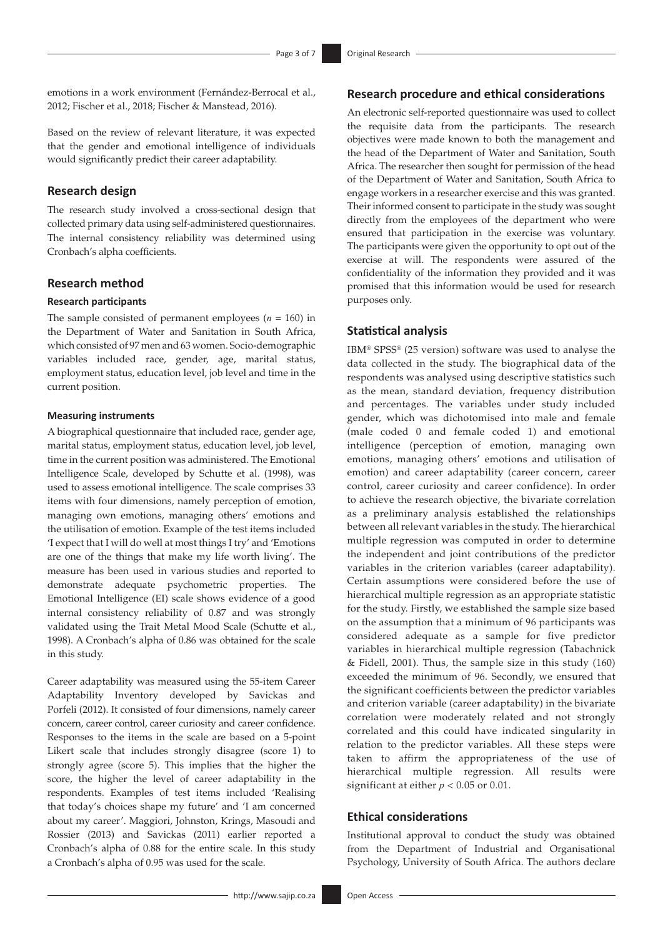emotions in a work environment (Fernández-Berrocal et al., 2012; Fischer et al., 2018; Fischer & Manstead, 2016).

Based on the review of relevant literature, it was expected that the gender and emotional intelligence of individuals would significantly predict their career adaptability.

### **Research design**

The research study involved a cross-sectional design that collected primary data using self-administered questionnaires. The internal consistency reliability was determined using Cronbach's alpha coefficients.

### **Research method**

### **Research participants**

The sample consisted of permanent employees  $(n = 160)$  in the Department of Water and Sanitation in South Africa, which consisted of 97 men and 63 women. Socio-demographic variables included race, gender, age, marital status, employment status, education level, job level and time in the current position.

### **Measuring instruments**

A biographical questionnaire that included race, gender age, marital status, employment status, education level, job level, time in the current position was administered. The Emotional Intelligence Scale, developed by Schutte et al. (1998), was used to assess emotional intelligence. The scale comprises 33 items with four dimensions, namely perception of emotion, managing own emotions, managing others' emotions and the utilisation of emotion. Example of the test items included 'I expect that I will do well at most things I try' and 'Emotions are one of the things that make my life worth living'. The measure has been used in various studies and reported to demonstrate adequate psychometric properties. The Emotional Intelligence (EI) scale shows evidence of a good internal consistency reliability of 0.87 and was strongly validated using the Trait Metal Mood Scale (Schutte et al., 1998). A Cronbach's alpha of 0.86 was obtained for the scale in this study.

Career adaptability was measured using the 55-item Career Adaptability Inventory developed by Savickas and Porfeli (2012). It consisted of four dimensions, namely career concern, career control, career curiosity and career confidence. Responses to the items in the scale are based on a 5-point Likert scale that includes strongly disagree (score 1) to strongly agree (score 5). This implies that the higher the score, the higher the level of career adaptability in the respondents. Examples of test items included 'Realising that today's choices shape my future' and 'I am concerned about my career'. Maggiori, Johnston, Krings, Masoudi and Rossier (2013) and Savickas (2011) earlier reported a Cronbach's alpha of 0.88 for the entire scale. In this study a Cronbach's alpha of 0.95 was used for the scale.

# **Research procedure and ethical considerations**

An electronic self-reported questionnaire was used to collect the requisite data from the participants. The research objectives were made known to both the management and the head of the Department of Water and Sanitation, South Africa. The researcher then sought for permission of the head of the Department of Water and Sanitation, South Africa to engage workers in a researcher exercise and this was granted. Their informed consent to participate in the study was sought directly from the employees of the department who were ensured that participation in the exercise was voluntary. The participants were given the opportunity to opt out of the exercise at will. The respondents were assured of the confidentiality of the information they provided and it was promised that this information would be used for research purposes only.

### **Statistical analysis**

IBM® SPSS® (25 version) software was used to analyse the data collected in the study. The biographical data of the respondents was analysed using descriptive statistics such as the mean, standard deviation, frequency distribution and percentages. The variables under study included gender, which was dichotomised into male and female (male coded 0 and female coded 1) and emotional intelligence (perception of emotion, managing own emotions, managing others' emotions and utilisation of emotion) and career adaptability (career concern, career control, career curiosity and career confidence). In order to achieve the research objective, the bivariate correlation as a preliminary analysis established the relationships between all relevant variables in the study. The hierarchical multiple regression was computed in order to determine the independent and joint contributions of the predictor variables in the criterion variables (career adaptability). Certain assumptions were considered before the use of hierarchical multiple regression as an appropriate statistic for the study. Firstly, we established the sample size based on the assumption that a minimum of 96 participants was considered adequate as a sample for five predictor variables in hierarchical multiple regression (Tabachnick & Fidell, 2001). Thus, the sample size in this study (160) exceeded the minimum of 96. Secondly, we ensured that the significant coefficients between the predictor variables and criterion variable (career adaptability) in the bivariate correlation were moderately related and not strongly correlated and this could have indicated singularity in relation to the predictor variables. All these steps were taken to affirm the appropriateness of the use of hierarchical multiple regression. All results were significant at either  $p < 0.05$  or 0.01.

### **Ethical considerations**

Institutional approval to conduct the study was obtained from the Department of Industrial and Organisational Psychology, University of South Africa. The authors declare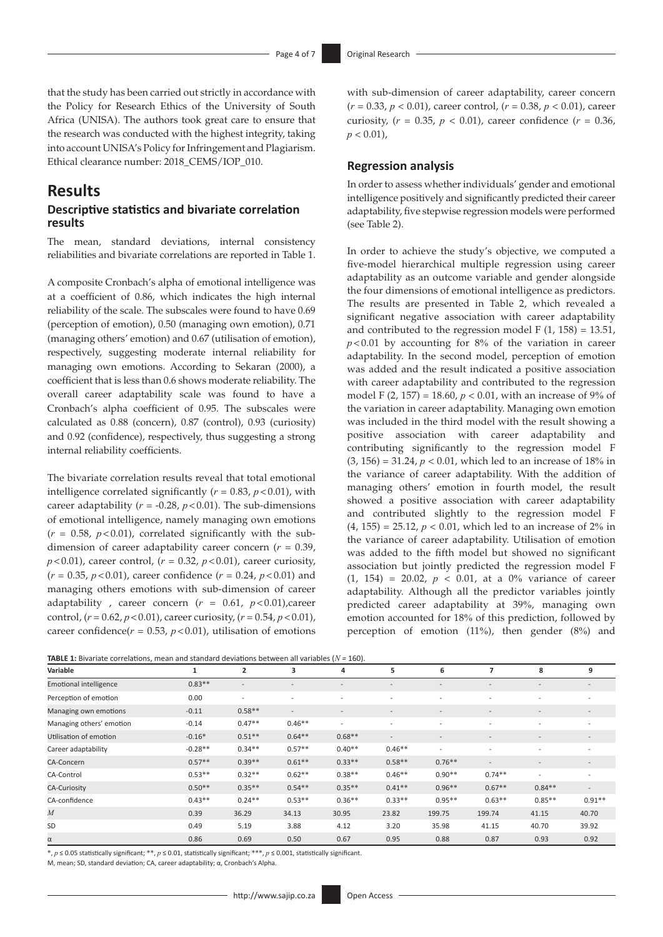that the study has been carried out strictly in accordance with the Policy for Research Ethics of the University of South Africa (UNISA). The authors took great care to ensure that the research was conducted with the highest integrity, taking into account UNISA's Policy for Infringement and Plagiarism. Ethical clearance number: 2018\_CEMS/IOP\_010.

# **Results**

### **Descriptive statistics and bivariate correlation results**

The mean, standard deviations, internal consistency reliabilities and bivariate correlations are reported in Table 1.

A composite Cronbach's alpha of emotional intelligence was at a coefficient of 0.86, which indicates the high internal reliability of the scale. The subscales were found to have 0.69 (perception of emotion), 0.50 (managing own emotion), 0.71 (managing others' emotion) and 0.67 (utilisation of emotion), respectively, suggesting moderate internal reliability for managing own emotions. According to Sekaran (2000), a coefficient that is less than 0.6 shows moderate reliability. The overall career adaptability scale was found to have a Cronbach's alpha coefficient of 0.95. The subscales were calculated as 0.88 (concern), 0.87 (control), 0.93 (curiosity) and 0.92 (confidence), respectively, thus suggesting a strong internal reliability coefficients.

The bivariate correlation results reveal that total emotional intelligence correlated significantly ( $r = 0.83$ ,  $p < 0.01$ ), with career adaptability ( $r = -0.28$ ,  $p < 0.01$ ). The sub-dimensions of emotional intelligence, namely managing own emotions  $(r = 0.58, p < 0.01)$ , correlated significantly with the subdimension of career adaptability career concern (*r* = 0.39,  $p$ <0.01), career control,  $(r = 0.32, p < 0.01)$ , career curiosity,  $(r = 0.35, p < 0.01)$ , career confidence  $(r = 0.24, p < 0.01)$  and managing others emotions with sub-dimension of career adaptability, career concern  $(r = 0.61, p < 0.01)$ , career control,  $(r = 0.62, p < 0.01)$ , career curiosity,  $(r = 0.54, p < 0.01)$ , career confidence( $r = 0.53$ ,  $p < 0.01$ ), utilisation of emotions

with sub-dimension of career adaptability, career concern (*r* = 0.33, *p* < 0.01), career control, (*r* = 0.38, *p* < 0.01), career curiosity,  $(r = 0.35, p < 0.01)$ , career confidence  $(r = 0.36,$  $p < 0.01$ ),

### **Regression analysis**

In order to assess whether individuals' gender and emotional intelligence positively and significantly predicted their career adaptability, five stepwise regression models were performed (see Table 2).

In order to achieve the study's objective, we computed a five-model hierarchical multiple regression using career adaptability as an outcome variable and gender alongside the four dimensions of emotional intelligence as predictors. The results are presented in Table 2, which revealed a significant negative association with career adaptability and contributed to the regression model F  $(1, 158) = 13.51$ ,  $p$ <0.01 by accounting for 8% of the variation in career adaptability. In the second model, perception of emotion was added and the result indicated a positive association with career adaptability and contributed to the regression model F (2, 157) = 18.60, *p* < 0.01, with an increase of 9% of the variation in career adaptability. Managing own emotion was included in the third model with the result showing a positive association with career adaptability and contributing significantly to the regression model F (3, 156) = 31.24, *p* < 0.01, which led to an increase of 18% in the variance of career adaptability. With the addition of managing others' emotion in fourth model, the result showed a positive association with career adaptability and contributed slightly to the regression model F (4, 155) = 25.12, *p* < 0.01, which led to an increase of 2% in the variance of career adaptability. Utilisation of emotion was added to the fifth model but showed no significant association but jointly predicted the regression model F  $(1, 154) = 20.02, p < 0.01$ , at a 0% variance of career adaptability. Although all the predictor variables jointly predicted career adaptability at 39%, managing own emotion accounted for 18% of this prediction, followed by perception of emotion (11%), then gender (8%) and

| <b>TABLE 1:</b> Bivariate correlations, mean and standard deviations between all variables $(N = 160)$ . |  |  |  |  |  |  |  |  |  |
|----------------------------------------------------------------------------------------------------------|--|--|--|--|--|--|--|--|--|
|----------------------------------------------------------------------------------------------------------|--|--|--|--|--|--|--|--|--|

| Variable                      |           | 2                        | 3                        | 4                        | 5                        | 6                        |                          | 8                        | 9                        |
|-------------------------------|-----------|--------------------------|--------------------------|--------------------------|--------------------------|--------------------------|--------------------------|--------------------------|--------------------------|
| <b>Emotional intelligence</b> | $0.83**$  | $\overline{\phantom{a}}$ | $\overline{\phantom{a}}$ | $\overline{\phantom{a}}$ | $\overline{\phantom{a}}$ | $\overline{\phantom{a}}$ | $\overline{\phantom{a}}$ | $\overline{\phantom{a}}$ | $\overline{\phantom{a}}$ |
| Perception of emotion         | 0.00      |                          | $\overline{\phantom{a}}$ |                          | $\overline{\phantom{a}}$ |                          | $\overline{\phantom{a}}$ |                          |                          |
| Managing own emotions         | $-0.11$   | $0.58**$                 | $\overline{\phantom{a}}$ | $\overline{\phantom{a}}$ | $\overline{\phantom{a}}$ | $\overline{\phantom{a}}$ | $\overline{\phantom{a}}$ | $\overline{\phantom{a}}$ | $\overline{\phantom{a}}$ |
| Managing others' emotion      | $-0.14$   | $0.47**$                 | $0.46**$                 | $\overline{\phantom{a}}$ | $\overline{\phantom{a}}$ | ۰.                       | $\overline{\phantom{a}}$ | ۰                        | $\overline{\phantom{a}}$ |
| Utilisation of emotion        | $-0.16*$  | $0.51**$                 | $0.64**$                 | $0.68**$                 | $\overline{\phantom{a}}$ |                          | $\overline{\phantom{0}}$ |                          | $\overline{\phantom{a}}$ |
| Career adaptability           | $-0.28**$ | $0.34**$                 | $0.57**$                 | $0.40**$                 | $0.46**$                 |                          | $\overline{\phantom{0}}$ |                          | $\overline{\phantom{0}}$ |
| CA-Concern                    | $0.57**$  | $0.39**$                 | $0.61**$                 | $0.33**$                 | $0.58**$                 | $0.76**$                 | $\overline{\phantom{a}}$ |                          | $\overline{\phantom{a}}$ |
| CA-Control                    | $0.53**$  | $0.32**$                 | $0.62**$                 | $0.38**$                 | $0.46**$                 | $0.90**$                 | $0.74**$                 | $\overline{\phantom{0}}$ | -                        |
| <b>CA-Curiosity</b>           | $0.50**$  | $0.35**$                 | $0.54**$                 | $0.35**$                 | $0.41**$                 | $0.96**$                 | $0.67**$                 | $0.84**$                 | $\overline{\phantom{a}}$ |
| CA-confidence                 | $0.43**$  | $0.24**$                 | $0.53**$                 | $0.36**$                 | $0.33**$                 | $0.95**$                 | $0.63**$                 | $0.85**$                 | $0.91**$                 |
| M                             | 0.39      | 36.29                    | 34.13                    | 30.95                    | 23.82                    | 199.75                   | 199.74                   | 41.15                    | 40.70                    |
| SD                            | 0.49      | 5.19                     | 3.88                     | 4.12                     | 3.20                     | 35.98                    | 41.15                    | 40.70                    | 39.92                    |
| α                             | 0.86      | 0.69                     | 0.50                     | 0.67                     | 0.95                     | 0.88                     | 0.87                     | 0.93                     | 0.92                     |

\*, *p* ≤ 0.05 statistically significant; \*\*, *p* ≤ 0.01, statistically significant; \*\*\*, *p* ≤ 0.001, statistically significant.

M, mean; SD, standard deviation; CA, career adaptability; α, Cronbach's Alpha.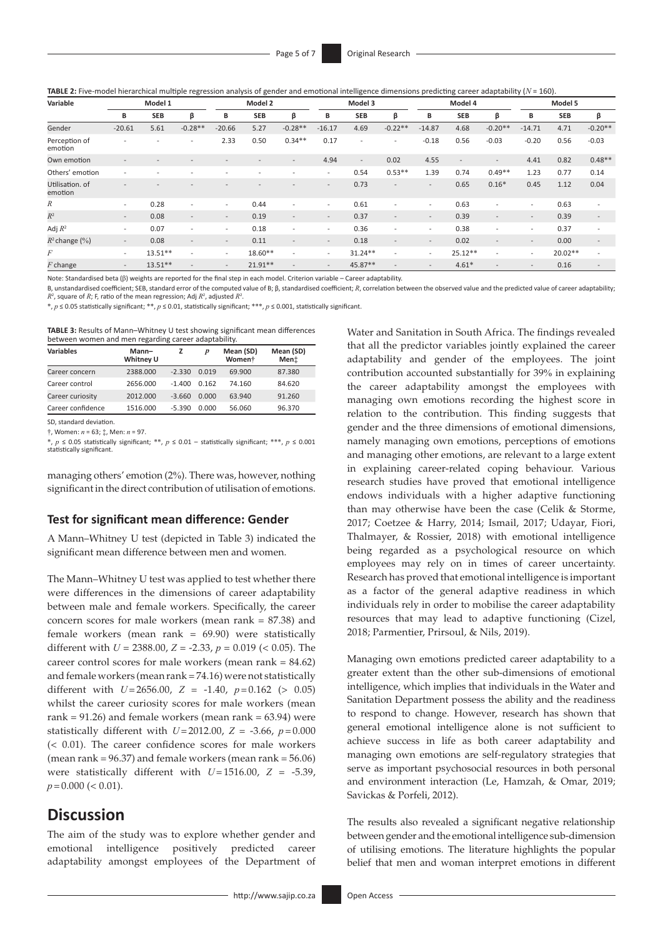**TABLE 2:** Five-model hierarchical multiple regression analysis of gender and emotional intelligence dimensions predicting career adaptability (*N* = 160).

| Variable                   | Model 1                  |                          |                          | Model 2                  |            | Model 3                  |                          | Model 4                  |                          |                          | Model 5                  |                          |                          |            |                          |
|----------------------------|--------------------------|--------------------------|--------------------------|--------------------------|------------|--------------------------|--------------------------|--------------------------|--------------------------|--------------------------|--------------------------|--------------------------|--------------------------|------------|--------------------------|
|                            | В                        | <b>SEB</b>               | β                        | B                        | <b>SEB</b> | β                        | в                        | <b>SEB</b>               | β                        | B                        | <b>SEB</b>               | β                        | В                        | <b>SEB</b> | β                        |
| Gender                     | $-20.61$                 | 5.61                     | $-0.28**$                | $-20.66$                 | 5.27       | $-0.28**$                | $-16.17$                 | 4.69                     | $-0.22**$                | $-14.87$                 | 4.68                     | $-0.20**$                | $-14.71$                 | 4.71       | $-0.20**$                |
| Perception of<br>emotion   | $\overline{\phantom{0}}$ | $\overline{\phantom{0}}$ | $\overline{\phantom{a}}$ | 2.33                     | 0.50       | $0.34**$                 | 0.17                     | $\overline{\phantom{a}}$ |                          | $-0.18$                  | 0.56                     | $-0.03$                  | $-0.20$                  | 0.56       | $-0.03$                  |
| Own emotion                | $\overline{a}$           |                          |                          |                          |            | $\overline{\phantom{a}}$ | 4.94                     | $\overline{\phantom{a}}$ | 0.02                     | 4.55                     | $\overline{\phantom{a}}$ | $\overline{\phantom{a}}$ | 4.41                     | 0.82       | $0.48**$                 |
| Others' emotion            | $\overline{\phantom{a}}$ |                          |                          |                          |            | $\overline{a}$           | $\overline{\phantom{a}}$ | 0.54                     | $0.53**$                 | 1.39                     | 0.74                     | $0.49**$                 | 1.23                     | 0.77       | 0.14                     |
| Utilisation, of<br>emotion |                          |                          |                          |                          |            |                          |                          | 0.73                     |                          | $\overline{a}$           | 0.65                     | $0.16*$                  | 0.45                     | 1.12       | 0.04                     |
| R                          | $\overline{\phantom{a}}$ | 0.28                     | $\overline{\phantom{0}}$ | $\overline{\phantom{a}}$ | 0.44       | $\overline{a}$           | $\overline{\phantom{a}}$ | 0.61                     |                          | $\overline{\phantom{a}}$ | 0.63                     |                          | $\overline{\phantom{a}}$ | 0.63       | $\overline{\phantom{a}}$ |
| $R^2$                      | $\overline{\phantom{a}}$ | 0.08                     | $\overline{\phantom{a}}$ | $\sim$                   | 0.19       | $\overline{\phantom{a}}$ | $\overline{\phantom{a}}$ | 0.37                     | $\overline{\phantom{0}}$ | $\overline{\phantom{a}}$ | 0.39                     | <b>1</b>                 | $\overline{\phantom{a}}$ | 0.39       | $\overline{\phantom{a}}$ |
| Adj $R^2$                  | $\overline{\phantom{a}}$ | 0.07                     | $\overline{\phantom{a}}$ | $\overline{\phantom{a}}$ | 0.18       | $\overline{a}$           | $\overline{\phantom{a}}$ | 0.36                     |                          | $\overline{\phantom{a}}$ | 0.38                     | $\overline{a}$           | $\overline{\phantom{a}}$ | 0.37       | $\overline{\phantom{a}}$ |
| $R^2$ change $(\%)$        | $\overline{\phantom{a}}$ | 0.08                     | $\overline{\phantom{a}}$ | $\sim$                   | 0.11       | $\overline{a}$           | $\overline{\phantom{a}}$ | 0.18                     |                          | $\overline{\phantom{a}}$ | 0.02                     | <b>1</b>                 | $\overline{\phantom{a}}$ | 0.00       | $\overline{\phantom{a}}$ |
| F                          | $\overline{\phantom{a}}$ | $13.51**$                |                          | $\overline{\phantom{a}}$ | $18.60**$  | $\overline{a}$           | $\overline{\phantom{a}}$ | $31.24**$                |                          | $\overline{\phantom{a}}$ | $25.12**$                | $\overline{a}$           | $\overline{\phantom{a}}$ | $20.02**$  | $\overline{\phantom{a}}$ |
| $F$ change                 | $\overline{\phantom{a}}$ | $13.51**$                |                          | $\overline{\phantom{a}}$ | $21.91**$  |                          | $\overline{\phantom{a}}$ | 45.87**                  |                          | $\overline{\phantom{a}}$ | $4.61*$                  | ÷                        | $\overline{\phantom{a}}$ | 0.16       | $\overline{\phantom{a}}$ |

Note: Standardised beta (β) weights are reported for the final step in each model. Criterion variable – Career adaptability.

B, unstandardised coefficient; SEB, standard error of the computed value of B; β, standardised coefficient; *R*, correlation between the observed value and the predicted value of career adaptability;  $R^2$ , square of  $R$ ; F, ratio of the mean regression; Adj  $R^2$ , adjusted  $R^2$ .

\*, *p* ≤ 0.05 statistically significant; \*\*, *p* ≤ 0.01, statistically significant; \*\*\*, *p* ≤ 0.001, statistically significant.

**TABLE 3:** Results of Mann–Whitney U test showing significant mean differences between women and men regarding career adaptability.

| <b>Variables</b>  | Mann-<br>Whitney U |          | $\boldsymbol{p}$ | Mean (SD)<br>Women <sup>+</sup> | Mean (SD)<br>Ment |  |
|-------------------|--------------------|----------|------------------|---------------------------------|-------------------|--|
| Career concern    | 2388,000           | $-2.330$ | 0.019            | 69.900                          | 87.380            |  |
| Career control    | 2656,000           | $-1.400$ | 0.162            | 74.160                          | 84.620            |  |
| Career curiosity  | 2012.000           | $-3.660$ | 0.000            | 63.940                          | 91.260            |  |
| Career confidence | 1516.000           | $-5.390$ | 0.000            | 56.060                          | 96.370            |  |
|                   |                    |          |                  |                                 |                   |  |

SD, standard deviation.

†, Women: *n* = 63; ‡, Men: *n* = 97.

\*, *p* ≤ 0.05 statistically significant; \*\*, *p* ≤ 0.01 – statistically significant; \*\*\*, *p* ≤ 0.001 statistically significant.

managing others' emotion (2%). There was, however, nothing significant in the direct contribution of utilisation of emotions.

### **Test for significant mean difference: Gender**

A Mann–Whitney U test (depicted in Table 3) indicated the significant mean difference between men and women.

The Mann–Whitney U test was applied to test whether there were differences in the dimensions of career adaptability between male and female workers. Specifically, the career concern scores for male workers (mean rank = 87.38) and female workers (mean rank =  $69.90$ ) were statistically different with *U* = 2388.00, *Z* = -2.33, *p* = 0.019 (< 0.05). The career control scores for male workers (mean rank = 84.62) and female workers (mean rank = 74.16) were not statistically different with  $U = 2656.00$ ,  $Z = -1.40$ ,  $p = 0.162$  (> 0.05) whilst the career curiosity scores for male workers (mean rank =  $91.26$ ) and female workers (mean rank =  $63.94$ ) were statistically different with  $U = 2012.00$ ,  $Z = -3.66$ ,  $p = 0.000$ (< 0.01). The career confidence scores for male workers (mean rank =  $96.37$ ) and female workers (mean rank =  $56.06$ ) were statistically different with  $U=1516.00$ ,  $Z = -5.39$ ,  $p=0.000$  (< 0.01).

# **Discussion**

The aim of the study was to explore whether gender and emotional intelligence positively predicted career adaptability amongst employees of the Department of Water and Sanitation in South Africa. The findings revealed that all the predictor variables jointly explained the career adaptability and gender of the employees. The joint contribution accounted substantially for 39% in explaining the career adaptability amongst the employees with managing own emotions recording the highest score in relation to the contribution. This finding suggests that gender and the three dimensions of emotional dimensions, namely managing own emotions, perceptions of emotions and managing other emotions, are relevant to a large extent in explaining career-related coping behaviour. Various research studies have proved that emotional intelligence endows individuals with a higher adaptive functioning than may otherwise have been the case (Celik & Storme, 2017; Coetzee & Harry, 2014; Ismail, 2017; Udayar, Fiori, Thalmayer, & Rossier, 2018) with emotional intelligence being regarded as a psychological resource on which employees may rely on in times of career uncertainty. Research has proved that emotional intelligence is important as a factor of the general adaptive readiness in which individuals rely in order to mobilise the career adaptability resources that may lead to adaptive functioning (Cizel, 2018; Parmentier, Prirsoul, & Nils, 2019).

Managing own emotions predicted career adaptability to a greater extent than the other sub-dimensions of emotional intelligence, which implies that individuals in the Water and Sanitation Department possess the ability and the readiness to respond to change. However, research has shown that general emotional intelligence alone is not sufficient to achieve success in life as both career adaptability and managing own emotions are self-regulatory strategies that serve as important psychosocial resources in both personal and environment interaction (Le, Hamzah, & Omar, 2019; Savickas & Porfeli, 2012).

The results also revealed a significant negative relationship between gender and the emotional intelligence sub-dimension of utilising emotions. The literature highlights the popular belief that men and woman interpret emotions in different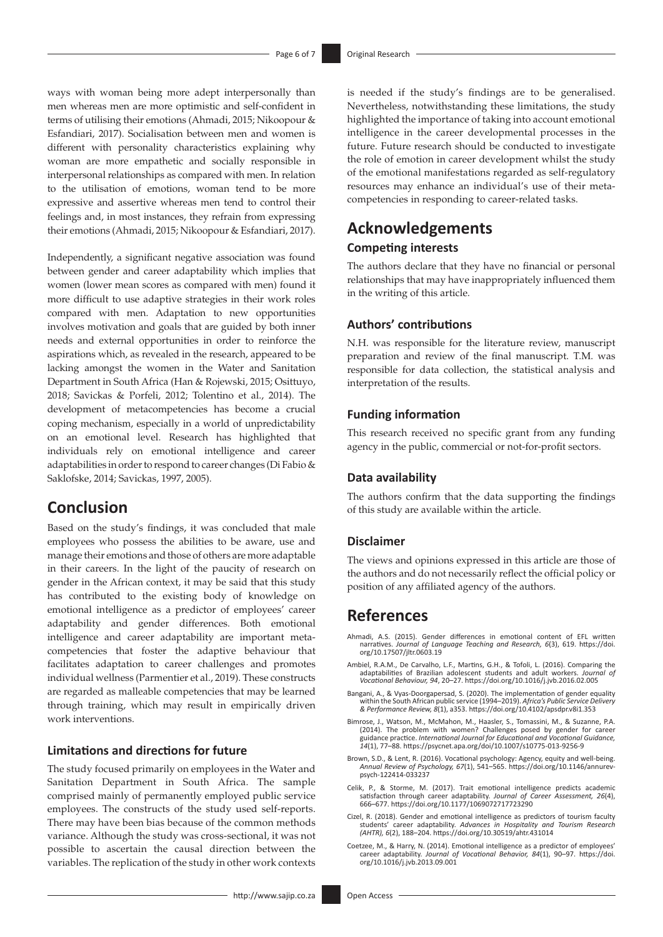ways with woman being more adept interpersonally than men whereas men are more optimistic and self-confident in terms of utilising their emotions (Ahmadi, 2015; Nikoopour & Esfandiari, 2017). Socialisation between men and women is different with personality characteristics explaining why woman are more empathetic and socially responsible in interpersonal relationships as compared with men. In relation to the utilisation of emotions, woman tend to be more expressive and assertive whereas men tend to control their feelings and, in most instances, they refrain from expressing their emotions (Ahmadi, 2015; Nikoopour & Esfandiari, 2017).

Independently, a significant negative association was found between gender and career adaptability which implies that women (lower mean scores as compared with men) found it more difficult to use adaptive strategies in their work roles compared with men. Adaptation to new opportunities involves motivation and goals that are guided by both inner needs and external opportunities in order to reinforce the aspirations which, as revealed in the research, appeared to be lacking amongst the women in the Water and Sanitation Department in South Africa (Han & Rojewski, 2015; Osittuyo, 2018; Savickas & Porfeli, 2012; Tolentino et al., 2014). The development of metacompetencies has become a crucial coping mechanism, especially in a world of unpredictability on an emotional level. Research has highlighted that individuals rely on emotional intelligence and career adaptabilities in order to respond to career changes (Di Fabio & Saklofske, 2014; Savickas, 1997, 2005).

# **Conclusion**

Based on the study's findings, it was concluded that male employees who possess the abilities to be aware, use and manage their emotions and those of others are more adaptable in their careers. In the light of the paucity of research on gender in the African context, it may be said that this study has contributed to the existing body of knowledge on emotional intelligence as a predictor of employees' career adaptability and gender differences. Both emotional intelligence and career adaptability are important metacompetencies that foster the adaptive behaviour that facilitates adaptation to career challenges and promotes individual wellness (Parmentier et al., 2019). These constructs are regarded as malleable competencies that may be learned through training, which may result in empirically driven work interventions.

# **Limitations and directions for future**

The study focused primarily on employees in the Water and Sanitation Department in South Africa. The sample comprised mainly of permanently employed public service employees. The constructs of the study used self-reports. There may have been bias because of the common methods variance. Although the study was cross-sectional, it was not possible to ascertain the causal direction between the variables. The replication of the study in other work contexts

<http://www.sajip.co.za> Open Access

is needed if the study's findings are to be generalised. Nevertheless, notwithstanding these limitations, the study highlighted the importance of taking into account emotional intelligence in the career developmental processes in the future. Future research should be conducted to investigate the role of emotion in career development whilst the study of the emotional manifestations regarded as self-regulatory resources may enhance an individual's use of their metacompetencies in responding to career-related tasks.

# **Acknowledgements**

# **Competing interests**

The authors declare that they have no financial or personal relationships that may have inappropriately influenced them in the writing of this article.

### **Authors' contributions**

N.H. was responsible for the literature review, manuscript preparation and review of the final manuscript. T.M. was responsible for data collection, the statistical analysis and interpretation of the results.

### **Funding information**

This research received no specific grant from any funding agency in the public, commercial or not-for-profit sectors.

#### **Data availability**

The authors confirm that the data supporting the findings of this study are available within the article.

### **Disclaimer**

The views and opinions expressed in this article are those of the authors and do not necessarily reflect the official policy or position of any affiliated agency of the authors.

# **References**

- Ahmadi, A.S. (2015). Gender differences in emotional content of EFL written narratives. *Journal of Language Teaching and Research, 6*(3), 619. [https://doi.](https://doi.org/10.17507/jltr.0603.19) [org/10.17507/jltr.0603.19](https://doi.org/10.17507/jltr.0603.19)
- Ambiel, R.A.M., De Carvalho, L.F., Martins, G.H., & Tofoli, L. (2016). Comparing the adaptabilities of Brazilian adolescent students and adult workers. *Journal of Vocational Behaviour, 94*, 20–27. <https://doi.org/10.1016/j.jvb.2016.02.005>
- Bangani, A., & Vyas-Doorgapersad, S. (2020). The implementation of gender equality within the South African public service (1994–2019). *Africa's Public Service Delivery & Performance Review, 8*(1), a353.<https://doi.org/10.4102/apsdpr.v8i1.353>
- Bimrose, J., Watson, M., McMahon, M., Haasler, S., Tomassini, M., & Suzanne, P.A. (2014). The problem with women? Challenges posed by gender for career guidance practice. *International Journal for Educational and Vocational Guidance, 14*(1), 77–88.<https://psycnet.apa.org/doi/10.1007/s10775-013-9256-9>
- Brown, S.D., & Lent, R. (2016). Vocational psychology: Agency, equity and well-being. *Annual Review of Psychology, 67*(1), 541–565. [https://doi.org/10.1146/annurev](https://doi.org/10.1146/annurev-psych-122414-033237)[psych-122414-033237](https://doi.org/10.1146/annurev-psych-122414-033237)
- Celik, P., & Storme, M. (2017). Trait emotional intelligence predicts academic satisfaction through career adaptability. *Journal of Career Assessment, 26*(4), 666–677.<https://doi.org/10.1177/1069072717723290>
- Cizel, R. (2018). Gender and emotional intelligence as predictors of tourism faculty students' career adaptability. *Advances in Hospitality and Tourism Research (AHTR), 6*(2), 188–204.<https://doi.org/10.30519/ahtr.431014>
- Coetzee, M., & Harry, N. (2014). Emotional intelligence as a predictor of employees' career adaptability. *Journal of Vocational Behavior, 84*(1), 90–97. [https://doi.](https://doi.org/10.1016/j.jvb.2013.09.001) [org/10.1016/j.jvb.2013.09.001](https://doi.org/10.1016/j.jvb.2013.09.001)